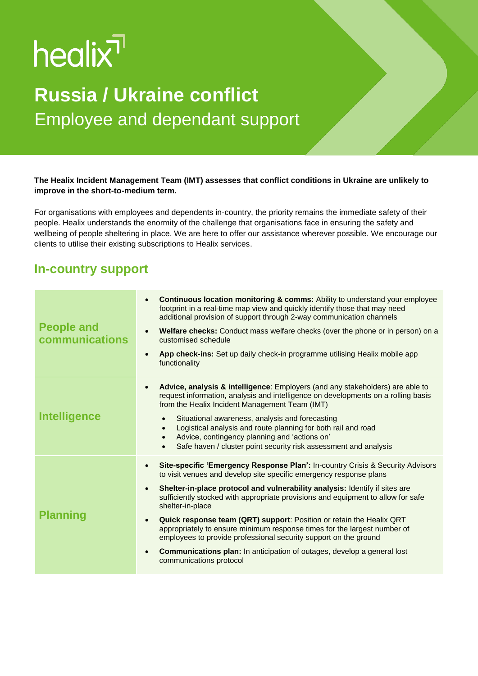# healix<sup>1</sup>

# **Russia / Ukraine conflict** Employee and dependant support

#### **The Healix Incident Management Team (IMT) assesses that conflict conditions in Ukraine are unlikely to improve in the short-to-medium term.**

For organisations with employees and dependents in-country, the priority remains the immediate safety of their people. Healix understands the enormity of the challenge that organisations face in ensuring the safety and wellbeing of people sheltering in place. We are here to offer our assistance wherever possible. We encourage our clients to utilise their existing subscriptions to Healix services.

### **In-country support**

| <b>People and</b><br>communications | <b>Continuous location monitoring &amp; comms:</b> Ability to understand your employee<br>$\bullet$<br>footprint in a real-time map view and quickly identify those that may need<br>additional provision of support through 2-way communication channels<br>Welfare checks: Conduct mass welfare checks (over the phone or in person) on a<br>$\bullet$<br>customised schedule<br>App check-ins: Set up daily check-in programme utilising Healix mobile app<br>$\bullet$<br>functionality                                                                                                                                                                                                                                          |
|-------------------------------------|--------------------------------------------------------------------------------------------------------------------------------------------------------------------------------------------------------------------------------------------------------------------------------------------------------------------------------------------------------------------------------------------------------------------------------------------------------------------------------------------------------------------------------------------------------------------------------------------------------------------------------------------------------------------------------------------------------------------------------------|
| <b>Intelligence</b>                 | Advice, analysis & intelligence: Employers (and any stakeholders) are able to<br>$\bullet$<br>request information, analysis and intelligence on developments on a rolling basis<br>from the Healix Incident Management Team (IMT)<br>Situational awareness, analysis and forecasting<br>$\bullet$<br>Logistical analysis and route planning for both rail and road<br>$\bullet$<br>Advice, contingency planning and 'actions on'<br>$\bullet$<br>Safe haven / cluster point security risk assessment and analysis<br>$\bullet$                                                                                                                                                                                                       |
| <b>Planning</b>                     | Site-specific 'Emergency Response Plan': In-country Crisis & Security Advisors<br>$\bullet$<br>to visit venues and develop site specific emergency response plans<br>Shelter-in-place protocol and vulnerability analysis: Identify if sites are<br>$\bullet$<br>sufficiently stocked with appropriate provisions and equipment to allow for safe<br>shelter-in-place<br>Quick response team (QRT) support: Position or retain the Healix QRT<br>$\bullet$<br>appropriately to ensure minimum response times for the largest number of<br>employees to provide professional security support on the ground<br><b>Communications plan:</b> In anticipation of outages, develop a general lost<br>$\bullet$<br>communications protocol |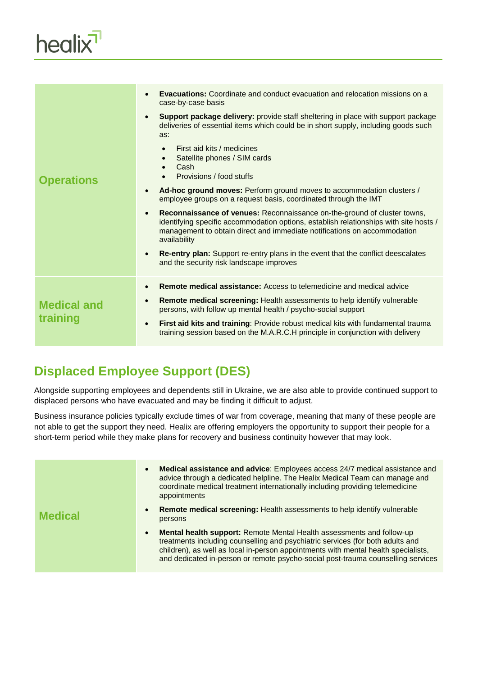

| <b>Operations</b>              | <b>Evacuations:</b> Coordinate and conduct evacuation and relocation missions on a<br>$\bullet$<br>case-by-case basis<br>Support package delivery: provide staff sheltering in place with support package<br>$\bullet$<br>deliveries of essential items which could be in short supply, including goods such<br>as:<br>First aid kits / medicines<br>$\bullet$<br>Satellite phones / SIM cards<br>$\bullet$<br>Cash<br>Provisions / food stuffs<br>Ad-hoc ground moves: Perform ground moves to accommodation clusters /<br>$\bullet$<br>employee groups on a request basis, coordinated through the IMT<br><b>Reconnaissance of venues: Reconnaissance on-the-ground of cluster towns,</b><br>$\bullet$<br>identifying specific accommodation options, establish relationships with site hosts /<br>management to obtain direct and immediate notifications on accommodation<br>availability<br>Re-entry plan: Support re-entry plans in the event that the conflict deescalates<br>$\bullet$<br>and the security risk landscape improves |
|--------------------------------|--------------------------------------------------------------------------------------------------------------------------------------------------------------------------------------------------------------------------------------------------------------------------------------------------------------------------------------------------------------------------------------------------------------------------------------------------------------------------------------------------------------------------------------------------------------------------------------------------------------------------------------------------------------------------------------------------------------------------------------------------------------------------------------------------------------------------------------------------------------------------------------------------------------------------------------------------------------------------------------------------------------------------------------------|
| <b>Medical and</b><br>training | Remote medical assistance: Access to telemedicine and medical advice<br>$\bullet$<br>Remote medical screening: Health assessments to help identify vulnerable<br>$\bullet$<br>persons, with follow up mental health / psycho-social support<br>First aid kits and training: Provide robust medical kits with fundamental trauma<br>$\bullet$<br>training session based on the M.A.R.C.H principle in conjunction with delivery                                                                                                                                                                                                                                                                                                                                                                                                                                                                                                                                                                                                             |

## **Displaced Employee Support (DES)**

Alongside supporting employees and dependents still in Ukraine, we are also able to provide continued support to displaced persons who have evacuated and may be finding it difficult to adjust.

Business insurance policies typically exclude times of war from coverage, meaning that many of these people are not able to get the support they need. Healix are offering employers the opportunity to support their people for a short-term period while they make plans for recovery and business continuity however that may look.

| <b>Medical</b> | Medical assistance and advice: Employees access 24/7 medical assistance and<br>$\bullet$<br>advice through a dedicated helpline. The Healix Medical Team can manage and<br>coordinate medical treatment internationally including providing telemedicine<br>appointments<br>Remote medical screening: Health assessments to help identify vulnerable<br>$\bullet$<br>persons |
|----------------|------------------------------------------------------------------------------------------------------------------------------------------------------------------------------------------------------------------------------------------------------------------------------------------------------------------------------------------------------------------------------|
|                | Mental health support: Remote Mental Health assessments and follow-up<br>$\bullet$<br>treatments including counselling and psychiatric services (for both adults and<br>children), as well as local in-person appointments with mental health specialists,<br>and dedicated in-person or remote psycho-social post-trauma counselling services                               |